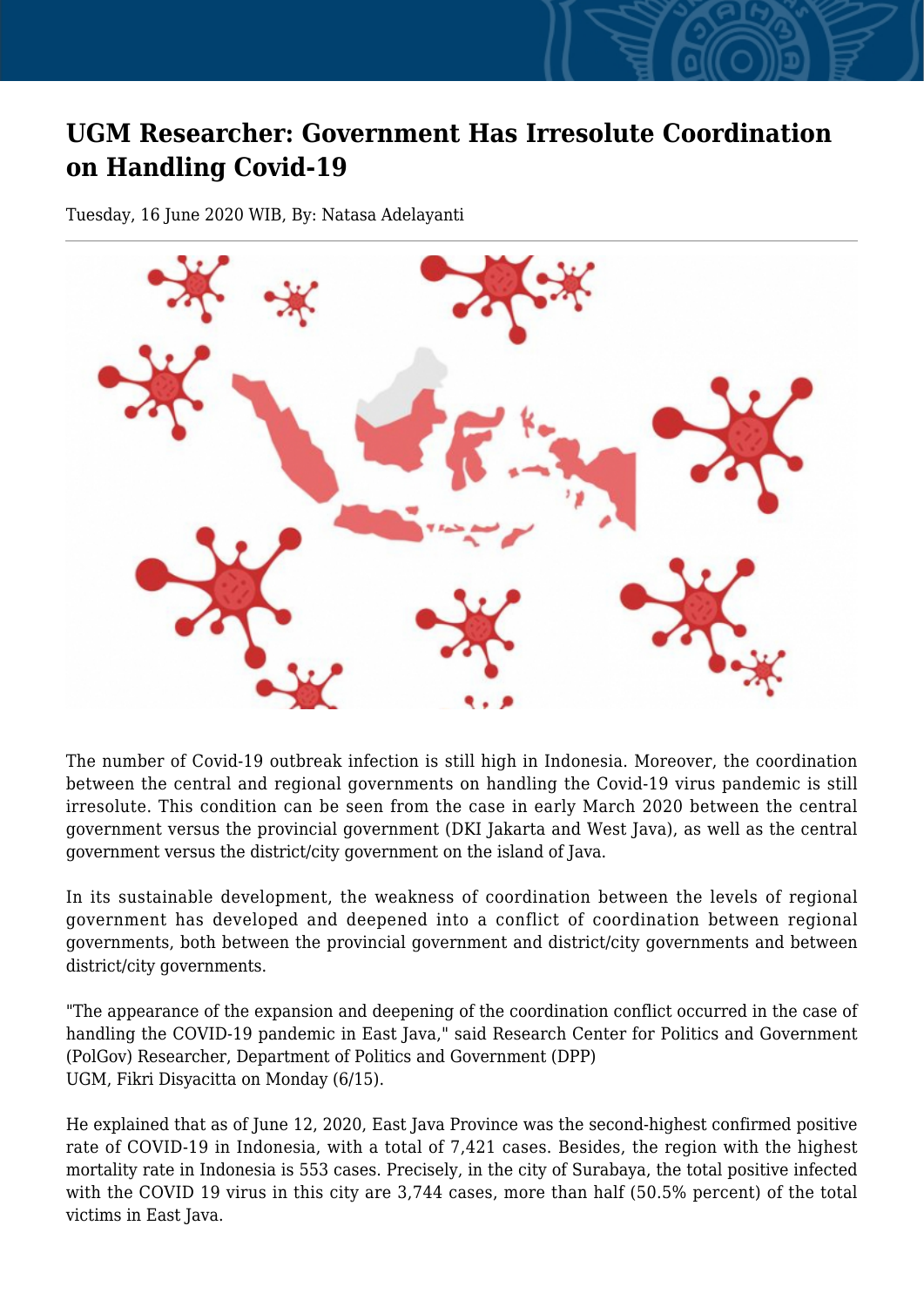## **UGM Researcher: Government Has Irresolute Coordination on Handling Covid-19**

Tuesday, 16 June 2020 WIB, By: Natasa Adelayanti



The number of Covid-19 outbreak infection is still high in Indonesia. Moreover, the coordination between the central and regional governments on handling the Covid-19 virus pandemic is still irresolute. This condition can be seen from the case in early March 2020 between the central government versus the provincial government (DKI Jakarta and West Java), as well as the central government versus the district/city government on the island of Java.

In its sustainable development, the weakness of coordination between the levels of regional government has developed and deepened into a conflict of coordination between regional governments, both between the provincial government and district/city governments and between district/city governments.

"The appearance of the expansion and deepening of the coordination conflict occurred in the case of handling the COVID-19 pandemic in East Java," said Research Center for Politics and Government (PolGov) Researcher, Department of Politics and Government (DPP) UGM, Fikri Disyacitta on Monday (6/15).

He explained that as of June 12, 2020, East Java Province was the second-highest confirmed positive rate of COVID-19 in Indonesia, with a total of 7,421 cases. Besides, the region with the highest mortality rate in Indonesia is 553 cases. Precisely, in the city of Surabaya, the total positive infected with the COVID 19 virus in this city are 3,744 cases, more than half (50.5% percent) of the total victims in East Java.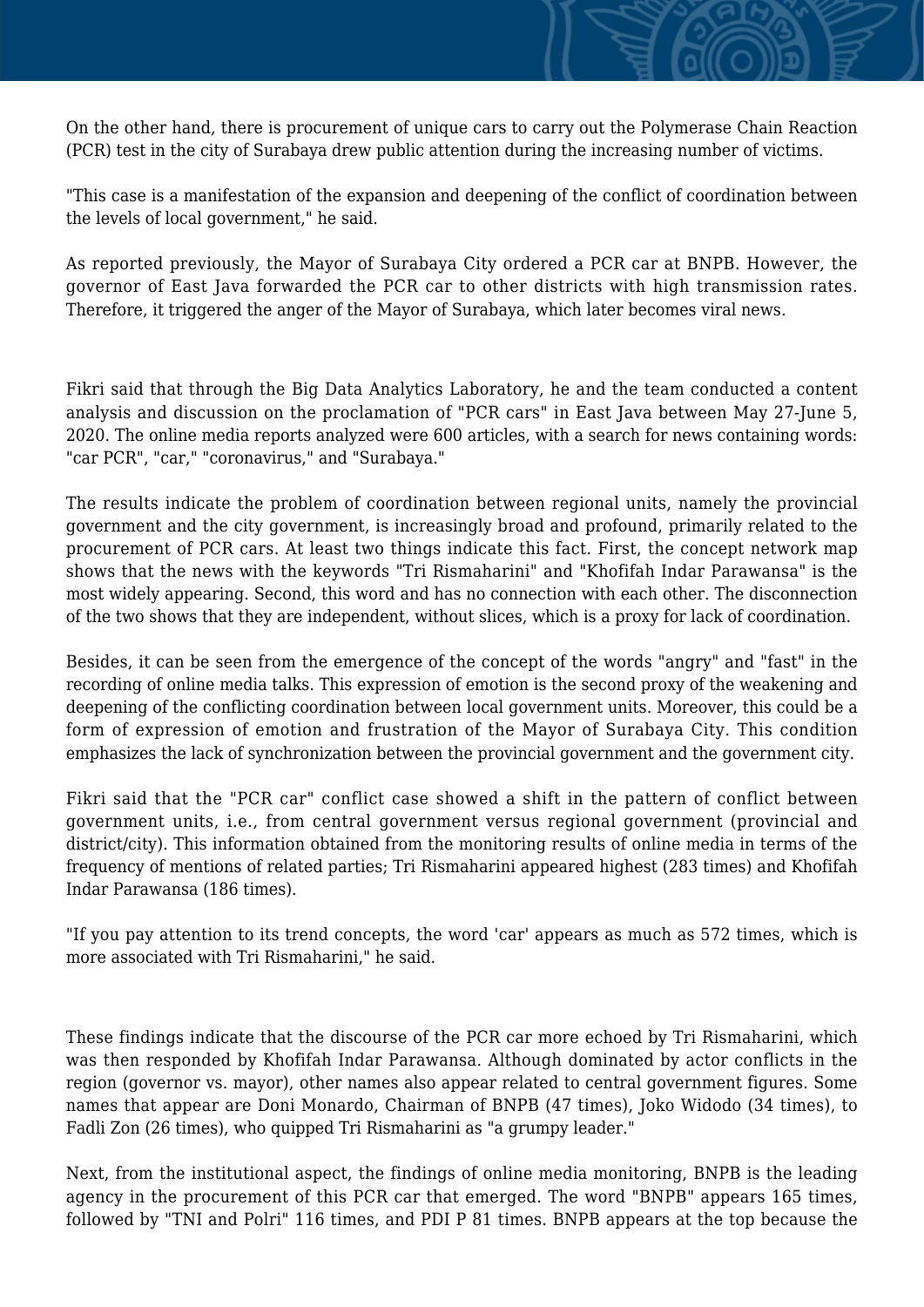On the other hand, there is procurement of unique cars to carry out the Polymerase Chain Reaction (PCR) test in the city of Surabaya drew public attention during the increasing number of victims.

"This case is a manifestation of the expansion and deepening of the conflict of coordination between the levels of local government," he said.

As reported previously, the Mayor of Surabaya City ordered a PCR car at BNPB. However, the governor of East Java forwarded the PCR car to other districts with high transmission rates. Therefore, it triggered the anger of the Mayor of Surabaya, which later becomes viral news.

Fikri said that through the Big Data Analytics Laboratory, he and the team conducted a content analysis and discussion on the proclamation of "PCR cars" in East Java between May 27-June 5, 2020. The online media reports analyzed were 600 articles, with a search for news containing words: "car PCR", "car," "coronavirus," and "Surabaya."

The results indicate the problem of coordination between regional units, namely the provincial government and the city government, is increasingly broad and profound, primarily related to the procurement of PCR cars. At least two things indicate this fact. First, the concept network map shows that the news with the keywords "Tri Rismaharini" and "Khofifah Indar Parawansa" is the most widely appearing. Second, this word and has no connection with each other. The disconnection of the two shows that they are independent, without slices, which is a proxy for lack of coordination.

Besides, it can be seen from the emergence of the concept of the words "angry" and "fast" in the recording of online media talks. This expression of emotion is the second proxy of the weakening and deepening of the conflicting coordination between local government units. Moreover, this could be a form of expression of emotion and frustration of the Mayor of Surabaya City. This condition emphasizes the lack of synchronization between the provincial government and the government city.

Fikri said that the "PCR car" conflict case showed a shift in the pattern of conflict between government units, i.e., from central government versus regional government (provincial and district/city). This information obtained from the monitoring results of online media in terms of the frequency of mentions of related parties; Tri Rismaharini appeared highest (283 times) and Khofifah Indar Parawansa (186 times).

"If you pay attention to its trend concepts, the word 'car' appears as much as 572 times, which is more associated with Tri Rismaharini," he said.

These findings indicate that the discourse of the PCR car more echoed by Tri Rismaharini, which was then responded by Khofifah Indar Parawansa. Although dominated by actor conflicts in the region (governor vs. mayor), other names also appear related to central government figures. Some names that appear are Doni Monardo, Chairman of BNPB (47 times), Joko Widodo (34 times), to Fadli Zon (26 times), who quipped Tri Rismaharini as "a grumpy leader."

Next, from the institutional aspect, the findings of online media monitoring, BNPB is the leading agency in the procurement of this PCR car that emerged. The word "BNPB" appears 165 times, followed by "TNI and Polri" 116 times, and PDI P 81 times. BNPB appears at the top because the